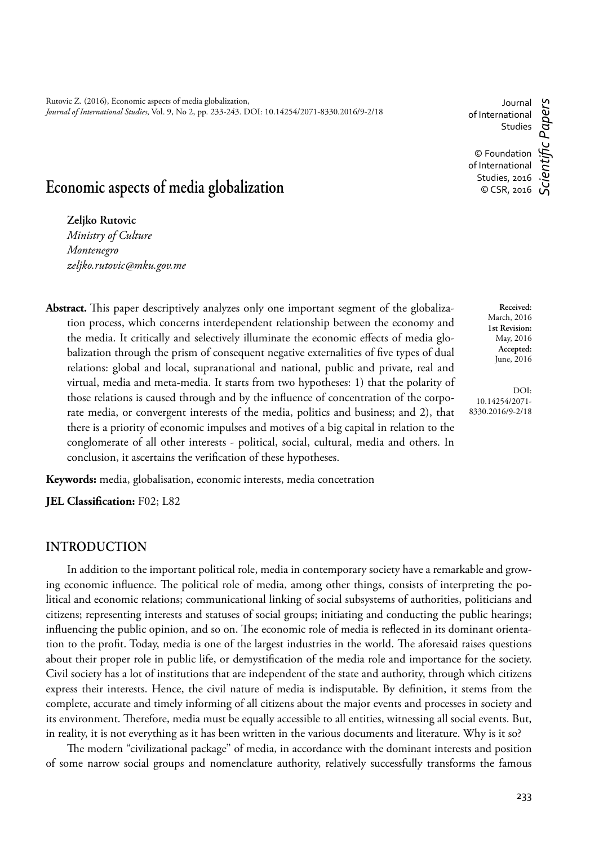# **Economic aspects of media globalization**

**Zeljko Rutovic**

*Ministry of Culture Montenegro zeljko.rutovic@mku.gov.me*

**Abstract.** This paper descriptively analyzes only one important segment of the globalization process, which concerns interdependent relationship between the economy and the media. It critically and selectively illuminate the economic effects of media globalization through the prism of consequent negative externalities of five types of dual relations: global and local, supranational and national, public and private, real and virtual, media and meta-media. It starts from two hypotheses: 1) that the polarity of those relations is caused through and by the influence of concentration of the corporate media, or convergent interests of the media, politics and business; and 2), that there is a priority of economic impulses and motives of a big capital in relation to the conglomerate of all other interests - political, social, cultural, media and others. In conclusion, it ascertains the verification of these hypotheses.

**Keywords:** media, globalisation, economic interests, media concetration

**JEL Classification:** F02; L82

#### **INTRODUCTION**

In addition to the important political role, media in contemporary society have a remarkable and growing economic influence. The political role of media, among other things, consists of interpreting the political and economic relations; communicational linking of social subsystems of authorities, politicians and citizens; representing interests and statuses of social groups; initiating and conducting the public hearings; influencing the public opinion, and so on. The economic role of media is reflected in its dominant orientation to the profit. Today, media is one of the largest industries in the world. The aforesaid raises questions about their proper role in public life, or demystification of the media role and importance for the society. Civil society has a lot of institutions that are independent of the state and authority, through which citizens express their interests. Hence, the civil nature of media is indisputable. By definition, it stems from the complete, accurate and timely informing of all citizens about the major events and processes in society and its environment. Therefore, media must be equally accessible to all entities, witnessing all social events. But, in reality, it is not everything as it has been written in the various documents and literature. Why is it so?

The modern "civilizational package" of media, in accordance with the dominant interests and position of some narrow social groups and nomenclature authority, relatively successfully transforms the famous

March, 2016 **1st Revision:** May, 2016 **Accepted:** June, 2016

**Received**:

DOI: 10.14254/2071- 8330.2016/9-2/18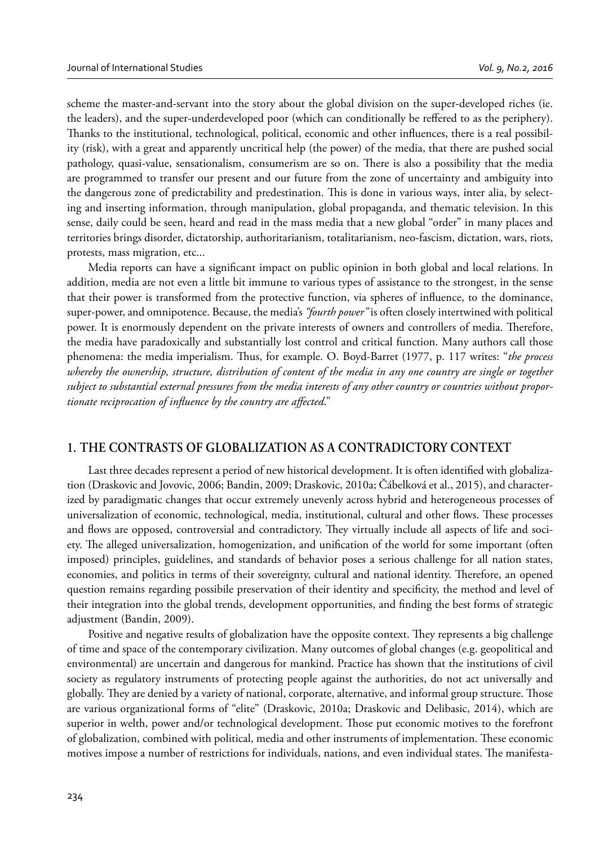scheme the master-and-servant into the story about the global division on the super-developed riches (ie. the leaders), and the super-underdeveloped poor (which can conditionally be reffered to as the periphery). Thanks to the institutional, technological, political, economic and other influences, there is a real possibility (risk), with a great and apparently uncritical help (the power) of the media, that there are pushed social pathology, quasi-value, sensationalism, consumerism are so on. There is also a possibility that the media are programmed to transfer our present and our future from the zone of uncertainty and ambiguity into the dangerous zone of predictability and predestination. This is done in various ways, inter alia, by selecting and inserting information, through manipulation, global propaganda, and thematic television. In this sense, daily could be seen, heard and read in the mass media that a new global "order" in many places and territories brings disorder, dictatorship, authoritarianism, totalitarianism, neo-fascism, dictation, wars, riots, protests, mass migration, etc...

Media reports can have a significant impact on public opinion in both global and local relations. In addition, media are not even a little bit immune to various types of assistance to the strongest, in the sense that their power is transformed from the protective function, via spheres of influence, to the dominance, super-power, and omnipotence. Because, the media's *"fourth power"* is often closely intertwined with political power. It is enormously dependent on the private interests of owners and controllers of media. Therefore, the media have paradoxically and substantially lost control and critical function. Many authors call those phenomena: the media imperialism. Thus, for example. O. Boyd-Barret (1977, p. 117 writes: "*the process* whereby the ownership, structure, distribution of content of the media in any one country are single or together *subject to substantial external pressures from the media interests of any other country or countries without propor*tionate reciprocation of influence by the country are affected."

## **1. THE CONTRASTS OF GLOBALIZATION AS A CONTRADICTORY CONTEXT**

Last three decades represent a period of new historical development. It is often identified with globalization (Draskovic and Jovovic, 2006; Bandin, 2009; Draskovic, 2010a; Čábelková et al., 2015), and characterized by paradigmatic changes that occur extremely unevenly across hybrid and heterogeneous processes of universalization of economic, technological, media, institutional, cultural and other flows. These processes and flows are opposed, controversial and contradictory. They virtually include all aspects of life and society. The alleged universalization, homogenization, and unification of the world for some important (often imposed) principles, guidelines, and standards of behavior poses a serious challenge for all nation states, economies, and politics in terms of their sovereignty, cultural and national identity. Therefore, an opened question remains regarding possibile preservation of their identity and specificity, the method and level of their integration into the global trends, development opportunities, and finding the best forms of strategic adjustment (Bandin, 2009).

Positive and negative results of globalization have the opposite context. They represents a big challenge of time and space of the contemporary civilization. Many outcomes of global changes (e.g. geopolitical and environmental) are uncertain and dangerous for mankind. Practice has shown that the institutions of civil society as regulatory instruments of protecting people against the authorities, do not act universally and globally. They are denied by a variety of national, corporate, alternative, and informal group structure. Those are various organizational forms of "elite" (Draskovic, 2010a; Draskovic and Delibasic, 2014), which are superior in welth, power and/or technological development. Those put economic motives to the forefront of globalization, combined with political, media and other instruments of implementation. These economic motives impose a number of restrictions for individuals, nations, and even individual states. The manifesta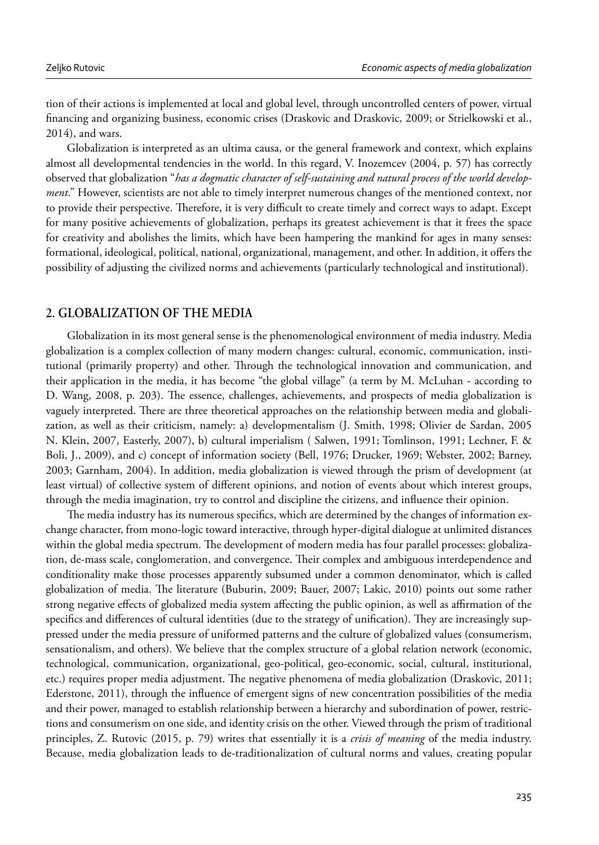tion of their actions is implemented at local and global level, through uncontrolled centers of power, virtual financing and organizing business, economic crises (Draskovic and Draskovic, 2009; or Strielkowski et al., 2014), and wars.

Globalization is interpreted as an ultima causa, or the general framework and context, which explains almost all developmental tendencies in the world. In this regard, V. Inozemcev (2004, p. 57) has correctly observed that globalization "*has a dogmatic character of self-sustaining and natural process of the world development*." However, scientists are not able to timely interpret numerous changes of the mentioned context, nor to provide their perspective. Therefore, it is very difficult to create timely and correct ways to adapt. Except for many positive achievements of globalization, perhaps its greatest achievement is that it frees the space for creativity and abolishes the limits, which have been hampering the mankind for ages in many senses: formational, ideological, political, national, organizational, management, and other. In addition, it offers the possibility of adjusting the civilized norms and achievements (particularly technological and institutional).

#### **2. GLOBALIZATION OF THE MEDIA**

Globalization in its most general sense is the phenomenological environment of media industry. Media globalization is a complex collection of many modern changes: cultural, economic, communication, institutional (primarily property) and other. Through the technological innovation and communication, and their application in the media, it has become "the global village" (a term by M. McLuhan - according to D. Wang, 2008, p. 203). The essence, challenges, achievements, and prospects of media globalization is vaguely interpreted. There are three theoretical approaches on the relationship between media and globalization, as well as their criticism, namely: a) developmentalism (J. Smith, 1998; Olivier de Sardan, 2005 N. Klein, 2007, Easterly, 2007), b) cultural imperialism ( Salwen, 1991; Tomlinson, 1991; Lechner, F. & Boli, J., 2009), and c) concept of information society (Bell, 1976; Drucker, 1969; Webster, 2002; Barney, 2003; Garnham, 2004). In addition, media globalization is viewed through the prism of development (at least virtual) of collective system of different opinions, and notion of events about which interest groups, through the media imagination, try to control and discipline the citizens, and influence their opinion.

The media industry has its numerous specifics, which are determined by the changes of information exchange character, from mono-logic toward interactive, through hyper-digital dialogue at unlimited distances within the global media spectrum. The development of modern media has four parallel processes: globalization, de-mass scale, conglomeration, and convergence. Their complex and ambiguous interdependence and conditionality make those processes apparently subsumed under a common denominator, which is called globalization of media. The literature (Buburin, 2009; Bauer, 2007; Lakic, 2010) points out some rather strong negative effects of globalized media system affecting the public opinion, as well as affirmation of the specifics and differences of cultural identities (due to the strategy of unification). They are increasingly suppressed under the media pressure of uniformed patterns and the culture of globalized values (consumerism, sensationalism, and others). We believe that the complex structure of a global relation network (economic, technological, communication, organizational, geo-political, geo-economic, social, cultural, institutional, etc.) requires proper media adjustment. The negative phenomena of media globalization (Draskovic, 2011; Ederstone, 2011), through the influence of emergent signs of new concentration possibilities of the media and their power, managed to establish relationship between a hierarchy and subordination of power, restrictions and consumerism on one side, and identity crisis on the other. Viewed through the prism of traditional principles, Z. Rutovic (2015, p. 79) writes that essentially it is a *crisis of meaning* of the media industry. Because, media globalization leads to de-traditionalization of cultural norms and values, creating popular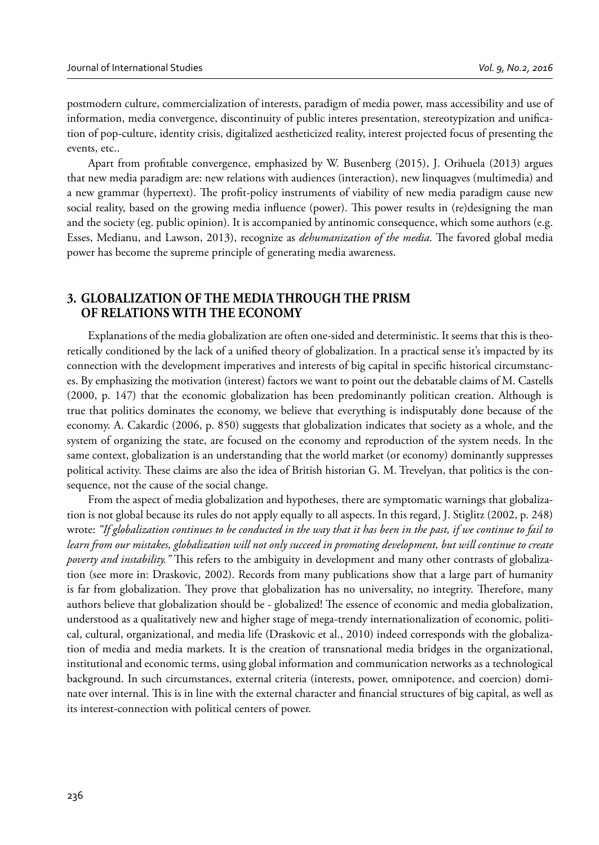postmodern culture, commercialization of interests, paradigm of media power, mass accessibility and use of information, media convergence, discontinuity of public interes presentation, stereotypization and unification of pop-culture, identity crisis, digitalized aestheticized reality, interest projected focus of presenting the events, etc..

Apart from profitable convergence, emphasized by W. Busenberg (2015), J. Orihuela (2013) argues that new media paradigm are: new relations with audiences (interaction), new linquagves (multimedia) and a new grammar (hypertext). The profit-policy instruments of viability of new media paradigm cause new social reality, based on the growing media influence (power). This power results in (re)designing the man and the society (eg. public opinion). It is accompanied by antinomic consequence, which some authors (e.g. Esses, Medianu, and Lawson, 2013), recognize as *dehumanization of the media*. The favored global media power has become the supreme principle of generating media awareness.

# **3. GLOBALIZATION OF THE MEDIA THROUGH THE PRISM OF RELATIONS WITH THE ECONOMY**

Explanations of the media globalization are often one-sided and deterministic. It seems that this is theoretically conditioned by the lack of a unified theory of globalization. In a practical sense it's impacted by its connection with the development imperatives and interests of big capital in specific historical circumstances. By emphasizing the motivation (interest) factors we want to point out the debatable claims of M. Castells (2000, p. 147) that the economic globalization has been predominantly politican creation. Although is true that politics dominates the economy, we believe that everything is indisputably done because of the economy. A. Cakardic (2006, p. 850) suggests that globalization indicates that society as a whole, and the system of organizing the state, are focused on the economy and reproduction of the system needs. In the same context, globalization is an understanding that the world market (or economy) dominantly suppresses political activity. These claims are also the idea of British historian G. M. Trevelyan, that politics is the consequence, not the cause of the social change.

From the aspect of media globalization and hypotheses, there are symptomatic warnings that globalization is not global because its rules do not apply equally to all aspects. In this regard, J. Stiglitz (2002, p. 248) wrote: *"If globalization continues to be conducted in the way that it has been in the past, if we continue to fail to learn from our mistakes, globalization will not only succeed in promoting development, but will continue to create poverty and instability.*" This refers to the ambiguity in development and many other contrasts of globalization (see more in: Draskovic, 2002). Records from many publications show that a large part of humanity is far from globalization. They prove that globalization has no universality, no integrity. Therefore, many authors believe that globalization should be - globalized! The essence of economic and media globalization, understood as a qualitatively new and higher stage of mega-trendy internationalization of economic, political, cultural, organizational, and media life (Draskovic et al., 2010) indeed corresponds with the globalization of media and media markets. It is the creation of transnational media bridges in the organizational, institutional and economic terms, using global information and communication networks as a technological background. In such circumstances, external criteria (interests, power, omnipotence, and coercion) dominate over internal. This is in line with the external character and financial structures of big capital, as well as its interest-connection with political centers of power.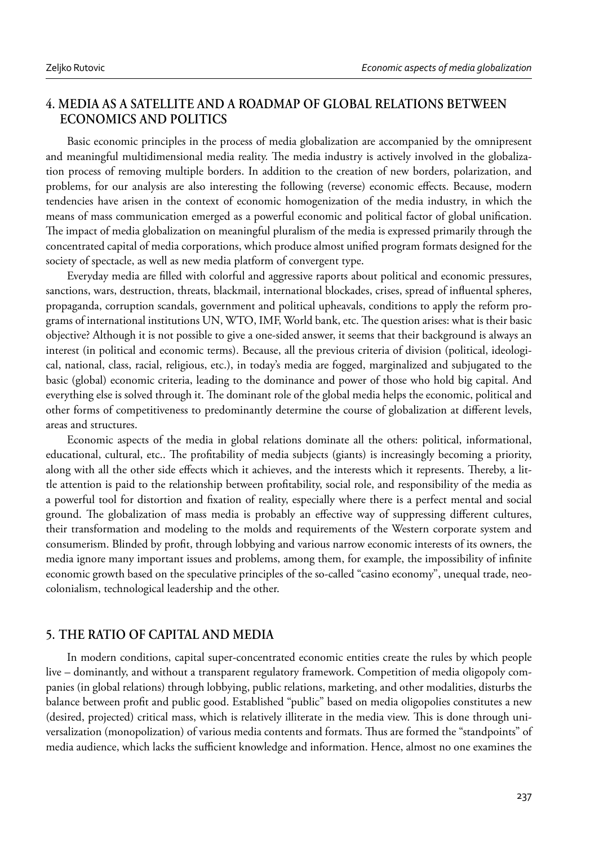# **4. MEDIA AS A SATELLITE AND A ROADMAP OF GLOBAL RELATIONS BETWEEN ECONOMICS AND POLITICS**

Basic economic principles in the process of media globalization are accompanied by the omnipresent and meaningful multidimensional media reality. The media industry is actively involved in the globalization process of removing multiple borders. In addition to the creation of new borders, polarization, and problems, for our analysis are also interesting the following (reverse) economic effects. Because, modern tendencies have arisen in the context of economic homogenization of the media industry, in which the means of mass communication emerged as a powerful economic and political factor of global unification. The impact of media globalization on meaningful pluralism of the media is expressed primarily through the concentrated capital of media corporations, which produce almost unified program formats designed for the society of spectacle, as well as new media platform of convergent type.

Everyday media are filled with colorful and aggressive raports about political and economic pressures, sanctions, wars, destruction, threats, blackmail, international blockades, crises, spread of influental spheres, propaganda, corruption scandals, government and political upheavals, conditions to apply the reform programs of international institutions UN, WTO, IMF, World bank, etc. The question arises: what is their basic objective? Although it is not possible to give a one-sided answer, it seems that their background is always an interest (in political and economic terms). Because, all the previous criteria of division (political, ideological, national, class, racial, religious, etc.), in today's media are fogged, marginalized and subjugated to the basic (global) economic criteria, leading to the dominance and power of those who hold big capital. And everything else is solved through it. The dominant role of the global media helps the economic, political and other forms of competitiveness to predominantly determine the course of globalization at different levels, areas and structures.

Economic aspects of the media in global relations dominate all the others: political, informational, educational, cultural, etc.. The profitability of media subjects (giants) is increasingly becoming a priority, along with all the other side effects which it achieves, and the interests which it represents. Thereby, a little attention is paid to the relationship between profitability, social role, and responsibility of the media as a powerful tool for distortion and fixation of reality, especially where there is a perfect mental and social ground. The globalization of mass media is probably an effective way of suppressing different cultures, their transformation and modeling to the molds and requirements of the Western corporate system and consumerism. Blinded by profit, through lobbying and various narrow economic interests of its owners, the media ignore many important issues and problems, among them, for example, the impossibility of infinite economic growth based on the speculative principles of the so-called "casino economy", unequal trade, neocolonialism, technological leadership and the other.

#### **5. THE RATIO OF CAPITAL AND MEDIA**

In modern conditions, capital super-concentrated economic entities create the rules by which people live – dominantly, and without a transparent regulatory framework. Competition of media oligopoly companies (in global relations) through lobbying, public relations, marketing, and other modalities, disturbs the balance between profi t and public good. Established "public" based on media oligopolies constitutes a new (desired, projected) critical mass, which is relatively illiterate in the media view. This is done through universalization (monopolization) of various media contents and formats. Thus are formed the "standpoints" of media audience, which lacks the sufficient knowledge and information. Hence, almost no one examines the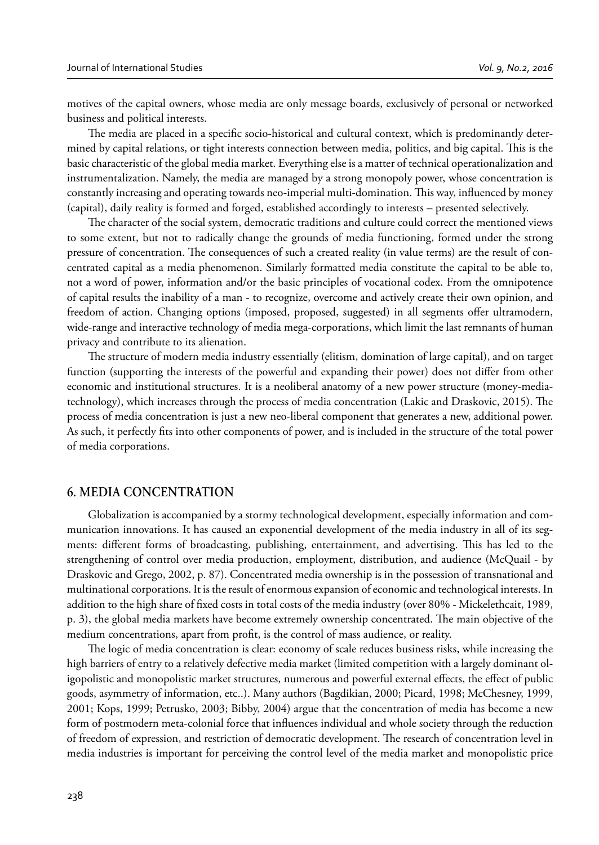motives of the capital owners, whose media are only message boards, exclusively of personal or networked business and political interests.

The media are placed in a specific socio-historical and cultural context, which is predominantly determined by capital relations, or tight interests connection between media, politics, and big capital. This is the basic characteristic of the global media market. Everything else is a matter of technical operationalization and instrumentalization. Namely, the media are managed by a strong monopoly power, whose concentration is constantly increasing and operating towards neo-imperial multi-domination. This way, influenced by money (capital), daily reality is formed and forged, established accordingly to interests – presented selectively.

The character of the social system, democratic traditions and culture could correct the mentioned views to some extent, but not to radically change the grounds of media functioning, formed under the strong pressure of concentration. The consequences of such a created reality (in value terms) are the result of concentrated capital as a media phenomenon. Similarly formatted media constitute the capital to be able to, not a word of power, information and/or the basic principles of vocational codex. From the omnipotence of capital results the inability of a man - to recognize, overcome and actively create their own opinion, and freedom of action. Changing options (imposed, proposed, suggested) in all segments offer ultramodern, wide-range and interactive technology of media mega-corporations, which limit the last remnants of human privacy and contribute to its alienation.

The structure of modern media industry essentially (elitism, domination of large capital), and on target function (supporting the interests of the powerful and expanding their power) does not differ from other economic and institutional structures. It is a neoliberal anatomy of a new power structure (money-mediatechnology), which increases through the process of media concentration (Lakic and Draskovic, 2015). The process of media concentration is just a new neo-liberal component that generates a new, additional power. As such, it perfectly fits into other components of power, and is included in the structure of the total power of media corporations.

#### **6. MEDIA CONCENTRATION**

Globalization is accompanied by a stormy technological development, especially information and communication innovations. It has caused an exponential development of the media industry in all of its segments: different forms of broadcasting, publishing, entertainment, and advertising. This has led to the strengthening of control over media production, employment, distribution, and audience (McQuail - by Draskovic and Grego, 2002, p. 87). Concentrated media ownership is in the possession of transnational and multinational corporations. It is the result of enormous expansion of economic and technological interests. In addition to the high share of fixed costs in total costs of the media industry (over 80% - Mickelethcait, 1989, p. 3), the global media markets have become extremely ownership concentrated. The main objective of the medium concentrations, apart from profit, is the control of mass audience, or reality.

The logic of media concentration is clear: economy of scale reduces business risks, while increasing the high barriers of entry to a relatively defective media market (limited competition with a largely dominant oligopolistic and monopolistic market structures, numerous and powerful external effects, the effect of public goods, asymmetry of information, etc..). Many authors (Bagdikian, 2000; Picard, 1998; McChesney, 1999, 2001; Kops, 1999; Petrusko, 2003; Bibby, 2004) argue that the concentration of media has become a new form of postmodern meta-colonial force that influences individual and whole society through the reduction of freedom of expression, and restriction of democratic development. The research of concentration level in media industries is important for perceiving the control level of the media market and monopolistic price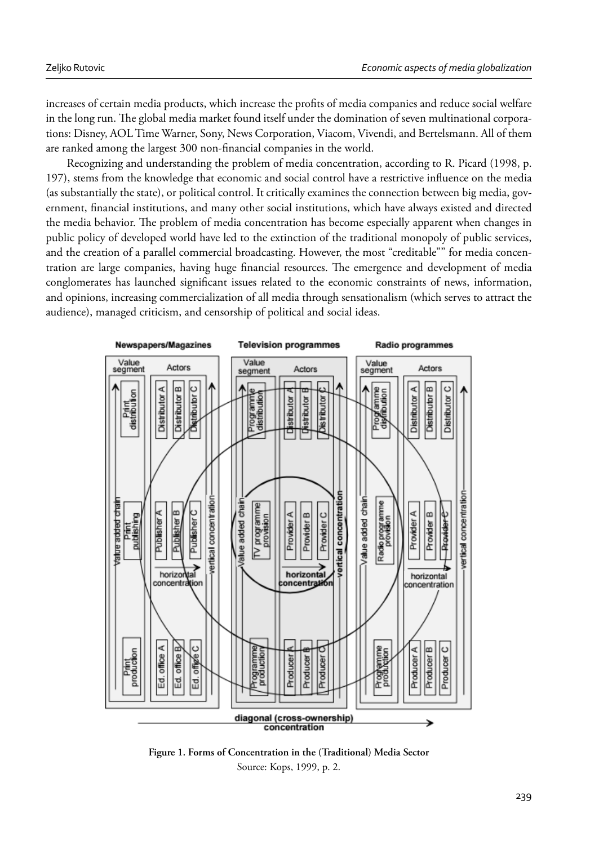increases of certain media products, which increase the profits of media companies and reduce social welfare in the long run. The global media market found itself under the domination of seven multinational corporations: Disney, AOL Time Warner, Sony, News Corporation, Viacom, Vivendi, and Bertelsmann. All of them are ranked among the largest 300 non-financial companies in the world.

Recognizing and understanding the problem of media concentration, according to R. Picard (1998, p. 197), stems from the knowledge that economic and social control have a restrictive influence on the media (as substantially the state), or political control. It critically examines the connection between big media, government, financial institutions, and many other social institutions, which have always existed and directed the media behavior. The problem of media concentration has become especially apparent when changes in public policy of developed world have led to the extinction of the traditional monopoly of public services, and the creation of a parallel commercial broadcasting. However, the most "creditable"" for media concentration are large companies, having huge financial resources. The emergence and development of media conglomerates has launched significant issues related to the economic constraints of news, information, and opinions, increasing commercialization of all media through sensationalism (which serves to attract the audience), managed criticism, and censorship of political and social ideas.



**Figure 1. Forms of Concentration in the (Traditional) Media Sector** Source: Kops, 1999, p. 2.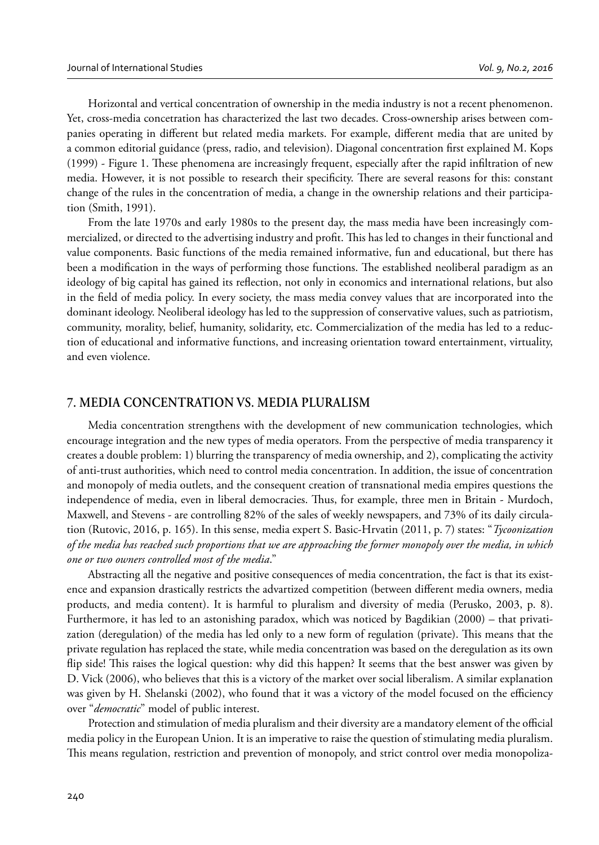Horizontal and vertical concentration of ownership in the media industry is not a recent phenomenon. Yet, cross-media concetration has characterized the last two decades. Cross-ownership arises between companies operating in different but related media markets. For example, different media that are united by a common editorial guidance (press, radio, and television). Diagonal concentration first explained M. Kops (1999) - Figure 1. These phenomena are increasingly frequent, especially after the rapid infiltration of new media. However, it is not possible to research their specificity. There are several reasons for this: constant change of the rules in the concentration of media, a change in the ownership relations and their participation (Smith, 1991).

From the late 1970s and early 1980s to the present day, the mass media have been increasingly commercialized, or directed to the advertising industry and profit. This has led to changes in their functional and value components. Basic functions of the media remained informative, fun and educational, but there has been a modification in the ways of performing those functions. The established neoliberal paradigm as an ideology of big capital has gained its reflection, not only in economics and international relations, but also in the field of media policy. In every society, the mass media convey values that are incorporated into the dominant ideology. Neoliberal ideology has led to the suppression of conservative values, such as patriotism, community, morality, belief, humanity, solidarity, etc. Commercialization of the media has led to a reduction of educational and informative functions, and increasing orientation toward entertainment, virtuality, and even violence.

## **7. MEDIA CONCENTRATION VS. MEDIA PLURALISM**

Media concentration strengthens with the development of new communication technologies, which encourage integration and the new types of media operators. From the perspective of media transparency it creates a double problem: 1) blurring the transparency of media ownership, and 2), complicating the activity of anti-trust authorities, which need to control media concentration. In addition, the issue of concentration and monopoly of media outlets, and the consequent creation of transnational media empires questions the independence of media, even in liberal democracies. Thus, for example, three men in Britain - Murdoch, Maxwell, and Stevens - are controlling 82% of the sales of weekly newspapers, and 73% of its daily circulation (Rutovic, 2016, p. 165). In this sense, media expert S. Basic-Hrvatin (2011, p. 7) states: "*Tycoonization of the media has reached such proportions that we are approaching the former monopoly over the media, in which one or two owners controlled most of the media*."

Abstracting all the negative and positive consequences of media concentration, the fact is that its existence and expansion drastically restricts the advartized competition (between different media owners, media products, and media content). It is harmful to pluralism and diversity of media (Perusko, 2003, p. 8). Furthermore, it has led to an astonishing paradox, which was noticed by Bagdikian (2000) – that privatization (deregulation) of the media has led only to a new form of regulation (private). This means that the private regulation has replaced the state, while media concentration was based on the deregulation as its own flip side! This raises the logical question: why did this happen? It seems that the best answer was given by D. Vick (2006), who believes that this is a victory of the market over social liberalism. A similar explanation was given by H. Shelanski (2002), who found that it was a victory of the model focused on the efficiency over "*democratic*" model of public interest.

Protection and stimulation of media pluralism and their diversity are a mandatory element of the official media policy in the European Union. It is an imperative to raise the question of stimulating media pluralism. This means regulation, restriction and prevention of monopoly, and strict control over media monopoliza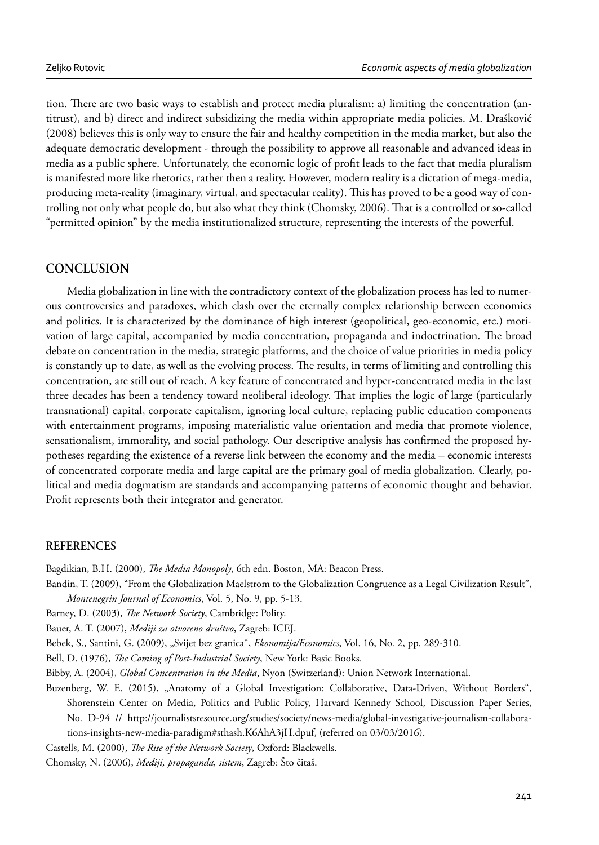tion. There are two basic ways to establish and protect media pluralism: a) limiting the concentration (antitrust), and b) direct and indirect subsidizing the media within appropriate media policies. M. Drašković (2008) believes this is only way to ensure the fair and healthy competition in the media market, but also the adequate democratic development - through the possibility to approve all reasonable and advanced ideas in media as a public sphere. Unfortunately, the economic logic of profi t leads to the fact that media pluralism is manifested more like rhetorics, rather then a reality. However, modern reality is a dictation of mega-media, producing meta-reality (imaginary, virtual, and spectacular reality). This has proved to be a good way of controlling not only what people do, but also what they think (Chomsky, 2006). That is a controlled or so-called "permitted opinion" by the media institutionalized structure, representing the interests of the powerful.

# **CONCLUSION**

Media globalization in line with the contradictory context of the globalization process has led to numerous controversies and paradoxes, which clash over the eternally complex relationship between economics and politics. It is characterized by the dominance of high interest (geopolitical, geo-economic, etc.) motivation of large capital, accompanied by media concentration, propaganda and indoctrination. The broad debate on concentration in the media, strategic platforms, and the choice of value priorities in media policy is constantly up to date, as well as the evolving process. The results, in terms of limiting and controlling this concentration, are still out of reach. A key feature of concentrated and hyper-concentrated media in the last three decades has been a tendency toward neoliberal ideology. That implies the logic of large (particularly transnational) capital, corporate capitalism, ignoring local culture, replacing public education components with entertainment programs, imposing materialistic value orientation and media that promote violence, sensationalism, immorality, and social pathology. Our descriptive analysis has confirmed the proposed hypotheses regarding the existence of a reverse link between the economy and the media – economic interests of concentrated corporate media and large capital are the primary goal of media globalization. Clearly, political and media dogmatism are standards and accompanying patterns of economic thought and behavior. Profit represents both their integrator and generator.

## **REFERENCES**

Bagdikian, B.H. (2000), *The Media Monopoly*, 6th edn. Boston, MA: Beacon Press.

- Bandin, T. (2009), "From the Globalization Maelstrom to the Globalization Congruence as a Legal Civilization Result", *Montenegrin Journal of Economics*, Vol. 5, No. 9, pp. 5-13.
- Barney, D. (2003), *The Network Society*, Cambridge: Polity.
- Bauer, A. T. (2007), *Mediji za otvoreno društvo*, Zagreb: ICEJ.
- Bebek, S., Santini, G. (2009), "Svijet bez granica", *Ekonomija/Economics*, Vol. 16, No. 2, pp. 289-310.
- Bell, D. (1976), *The Coming of Post-Industrial Society*, New York: Basic Books.
- Bibby, A. (2004), *Global Concentration in the Media*, Nyon (Switzerland): Union Network International.
- Buzenberg, W. E. (2015), "Anatomy of a Global Investigation: Collaborative, Data-Driven, Without Borders", Shorenstein Center on Media, Politics and Public Policy, Harvard Kennedy School, Discussion Paper Series, No. D-94 // http://journalistsresource.org/studies/society/news-media/global-investigative-journalism-collaborations-insights-new-media-paradigm#sthash.K6AhA3jH.dpuf, (referred on 03/03/2016).

Castells, M. (2000), *The Rise of the Network Society*, Oxford: Blackwells.

Chomsky, N. (2006), *Mediji, propaganda, sistem*, Zagreb: Što čitaš.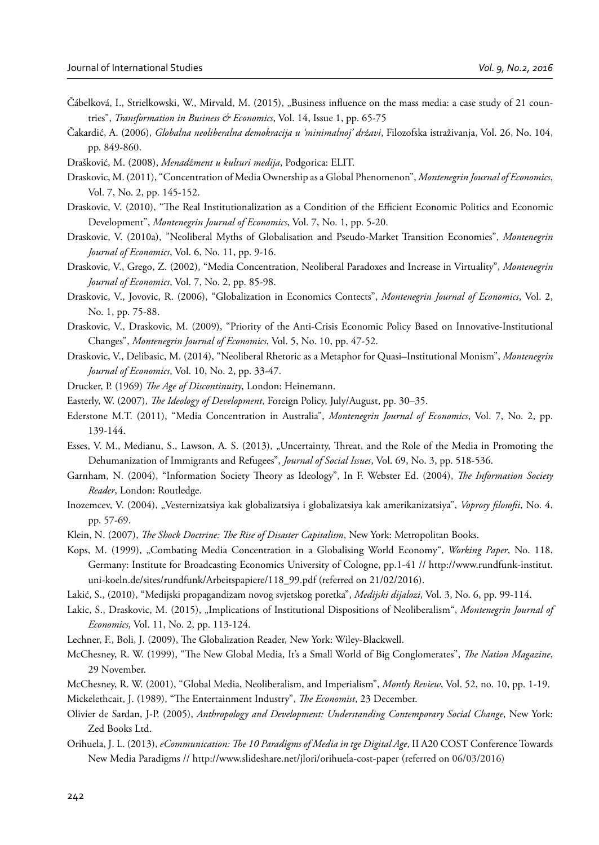- Čábelková, I., Strielkowski, W., Mirvald, M. (2015), "Business influence on the mass media: a case study of 21 countries", *Transformation in Business & Economics*, Vol. 14, Issue 1, pp. 65-75
- Čakardić, A. (2006), *Globalna neoliberalna demokracija u 'minimalnoj' državi*, Filozofska istraživanja, Vol. 26, No. 104, pp. 849-860.
- Drašković, M. (2008), *Menadžment u kulturi medija*, Podgorica: ELIT.
- Draskovic, M. (2011), "Concentration of Media Ownership as a Global Phenomenon", *Montenegrin Journal of Economics*, Vol. 7, No. 2, pp. 145-152.
- Draskovic, V. (2010), "The Real Institutionalization as a Condition of the Efficient Economic Politics and Economic Development", *Montenegrin Journal of Economics*, Vol. 7, No. 1, pp. 5-20.
- Draskovic, V. (2010a), "Neoliberal Myths of Globalisation and Pseudo-Market Transition Economies", *Montenegrin Journal of Economics*, Vol. 6, No. 11, pp. 9-16.
- Draskovic, V., Grego, Z. (2002), "Media Concentration, Neoliberal Paradoxes and Increase in Virtuality", *Montenegrin Journal of Economics*, Vol. 7, No. 2, pp. 85-98.
- Draskovic, V., Jovovic, R. (2006), "Globalization in Economics Contects", *Montenegrin Journal of Economics*, Vol. 2, No. 1, pp. 75-88.
- Draskovic, V., Draskovic, M. (2009), "Priority of the Anti-Crisis Economic Policy Based on Innovative-Institutional Changes", *Montenegrin Journal of Economics*, Vol. 5, No. 10, pp. 47-52.
- Draskovic, V., Delibasic, M. (2014), "Neoliberal Rhetoric as a Metaphor for Quasi–Institutional Monism", *Montenegrin Journal of Economics*, Vol. 10, No. 2, pp. 33-47.
- Drucker, P. (1969) *The Age of Discontinuity*, London: Heinemann.
- Easterly, W. (2007), *The Ideology of Development*, Foreign Policy, July/August, pp. 30–35.
- Ederstone M.T. (2011), "Media Concentration in Australia", *Montenegrin Journal of Economics*, Vol. 7, No. 2, pp. 139-144.
- Esses, V. M., Medianu, S., Lawson, A. S. (2013), "Uncertainty, Threat, and the Role of the Media in Promoting the Dehumanization of Immigrants and Refugees", *Journal of Social Issues*, Vol. 69, No. 3, pp. 518-536.
- Garnham, N. (2004), "Information Society Theory as Ideology", In F. Webster Ed. (2004), *The Information Society Reader*, London: Routledge.
- Inozemcev, V. (2004), "Vesternizatsiya kak globalizatsiya i globalizatsiya kak amerikanizatsiya", *Voprosy filosofii*, No. 4, pp. 57-69.
- Klein, N. (2007), *The Shock Doctrine: The Rise of Disaster Capitalism*, New York: Metropolitan Books.
- Kops, M. (1999), "Combating Media Concentration in a Globalising World Economy"*, Working Paper*, No. 118, Germany: Institute for Broadcasting Economics University of Cologne, pp.1-41 // http://www.rundfunk-institut. uni-koeln.de/sites/rundfunk/Arbeitspapiere/118\_99.pdf (referred on 21/02/2016).
- Lakić, S., (2010), "Medijski propagandizam novog svjetskog poretka", *Medijski dijalozi*, Vol. 3, No. 6, pp. 99-114.
- Lakic, S., Draskovic, M. (2015), "Implications of Institutional Dispositions of Neoliberalism", *Montenegrin Journal of Economics*, Vol. 11, No. 2, pp. 113-124.
- Lechner, F., Boli, J. (2009), The Globalization Reader, New York: Wiley-Blackwell.
- McChesney, R. W. (1999), "The New Global Media, It's a Small World of Big Conglomerates", *The Nation Magazine*, 29 November.
- McChesney, R. W. (2001), "Global Media, Neoliberalism, and Imperialism", *Montly Review*, Vol. 52, no. 10, pp. 1-19.
- Mickelethcait, J. (1989), "The Entertainment Industry", *The Economist*, 23 December.
- Olivier de Sardan, J-P. (2005), *Anthropology and Development: Understanding Contemporary Social Change*, New York: Zed Books Ltd.
- Orihuela, J. L. (2013), *eCommunication: The 10 Paradigms of Media in tge Digital Age*, II A20 COST Conference Towards New Media Paradigms // http://www.slideshare.net/jlori/orihuela-cost-paper (referred on 06/03/2016)